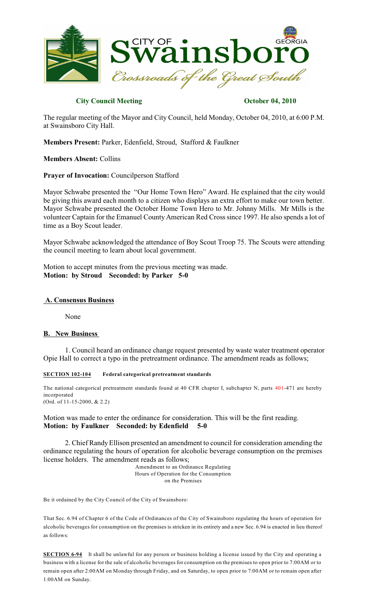

# **City Council Meeting Constraints October 04, 2010**

The regular meeting of the Mayor and City Council, held Monday, October 04, 2010, at 6:00 P.M. at Swainsboro City Hall.

**Members Present:** Parker, Edenfield, Stroud, Stafford & Faulkner

**Members Absent:** Collins

**Prayer of Invocation:** Councilperson Stafford

Mayor Schwabe presented the "Our Home Town Hero" Award. He explained that the city would be giving this award each month to a citizen who displays an extra effort to make our town better. Mayor Schwabe presented the October Home Town Hero to Mr. Johnny Mills. Mr Mills is the volunteer Captain for the Emanuel County American Red Cross since 1997. He also spends a lot of time as a Boy Scout leader.

Mayor Schwabe acknowledged the attendance of Boy Scout Troop 75. The Scouts were attending the council meeting to learn about local government.

Motion to accept minutes from the previous meeting was made. **Motion: by Stroud Seconded: by Parker 5-0**

## **A. Consensus Business**

None

# **B. New Business**

1. Council heard an ordinance change request presented by waste water treatment operator Opie Hall to correct a typo in the pretreatment ordinance. The amendment reads as follows;

### **SECTION 102-104 Federal categorical pretreatment standards**

The national categorical pretreatment standards found at 40 CFR chapter I, subchapter N, parts 401-471 are hereby incorporated (Ord. of 11-15-2000, & 2.2)

Motion was made to enter the ordinance for consideration. This will be the first reading. **Motion: by Faulkner Seconded: by Edenfield 5-0**

2. Chief Randy Ellison presented an amendment to council for consideration amending the ordinance regulating the hours of operation for alcoholic beverage consumption on the premises license holders. The amendment reads as follows;

> Amendment to an Ordinance Regulating Hours of Operation for the Consumption on the Premises

Be it ordained by the City Council of the City of Swainsboro:

That Sec. 6.94 of Chapter 6 of the Code of Ordinances of the City of Swainsboro regulating the hours of operation for alcoholic beverages for consumption on the premises is stricken in its entirety and a new Sec. 6.94 is enacted in lieu thereof as follows:

**SECTION 6-94** It shall be unlawful for any person or business holding a license issued by the City and operating a business with a license for the sale of alcoholic beverages for consumption on the premises to open prior to 7:00AM or to remain open after 2:00AM on Monday through Friday, and on Saturday, to open prior to 7:00AM or to remain open after 1:00AM on Sunday.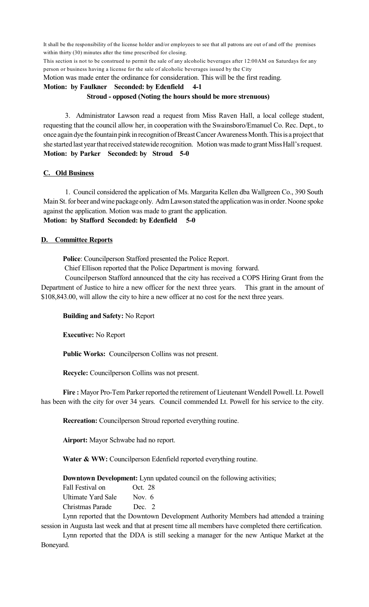It shall be the responsibility of the license holder and/or employees to see that all patrons are out of and off the premises within thirty (30) minutes after the time prescribed for closing.

This section is not to be construed to permit the sale of any alcoholic beverages after 12:00AM on Saturdays for any person or business having a license for the sale of alcoholic beverages issued by the City

Motion was made enter the ordinance for consideration. This will be the first reading.

# **Motion: by Faulkner Seconded: by Edenfield 4-1 Stroud - opposed (Noting the hours should be more strenuous)**

3. Administrator Lawson read a request from Miss Raven Hall, a local college student, requesting that the council allow her, in cooperation with the Swainsboro/Emanuel Co. Rec. Dept., to once again dye the fountain pink in recognition of Breast Cancer Awareness Month. This is a project that she started last year that received statewide recognition. Motion was made to grant Miss Hall's request. **Motion: by Parker Seconded: by Stroud 5-0**

# **C. Old Business**

1. Council considered the application of Ms. Margarita Kellen dba Wallgreen Co., 390 South Main St. for beer and wine package only. Adm Lawson stated the application was in order. Noone spoke against the application. Motion was made to grant the application. **Motion: by Stafford Seconded: by Edenfield 5-0**

# **D. Committee Reports**

**Police**: Councilperson Stafford presented the Police Report.

Chief Ellison reported that the Police Department is moving forward.

Councilperson Stafford announced that the city has received a COPS Hiring Grant from the Department of Justice to hire a new officer for the next three years. This grant in the amount of \$108,843.00, will allow the city to hire a new officer at no cost for the next three years.

**Building and Safety:** No Report

**Executive:** No Report

**Public Works:** Councilperson Collins was not present.

**Recycle:** Councilperson Collins was not present.

Fire : Mayor Pro-Tem Parker reported the retirement of Lieutenant Wendell Powell. Lt. Powell has been with the city for over 34 years. Council commended Lt. Powell for his service to the city.

**Recreation:** Councilperson Stroud reported everything routine.

**Airport:** Mayor Schwabe had no report.

**Water & WW:** Councilperson Edenfield reported everything routine.

**Downtown Development:** Lynn updated council on the following activities;

Fall Festival on Oct. 28 Ultimate Yard Sale Nov. 6 Christmas Parade Dec. 2

Lynn reported that the Downtown Development Authority Members had attended a training session in Augusta last week and that at present time all members have completed there certification.

Lynn reported that the DDA is still seeking a manager for the new Antique Market at the Boneyard.